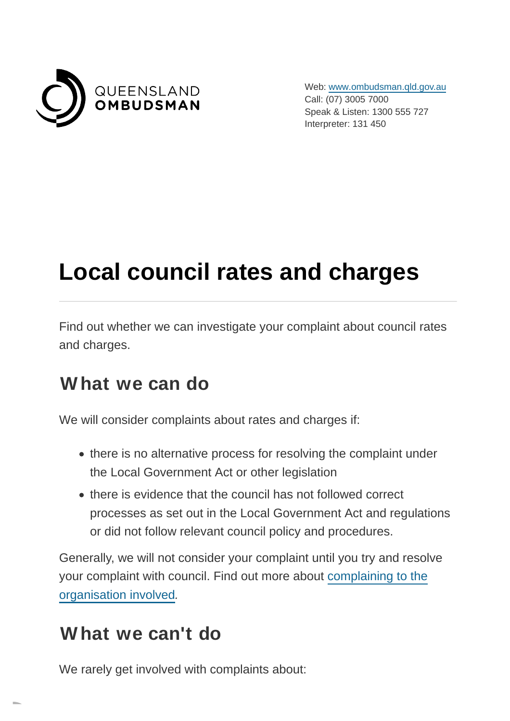

Web: [www.ombudsman.qld.gov.au](https://www.ombudsman.qld.gov.au/) Call: (07) 3005 7000 Speak & Listen: 1300 555 727 Interpreter: 131 450

# **Local council rates and charges**

Find out whether we can investigate your complaint about council rates and charges.

#### **What we can do**

We will consider complaints about rates and charges if:

- there is no alternative process for resolving the complaint under the Local Government Act or other legislation
- there is evidence that the council has not followed correct processes as set out in the Local Government Act and regulations or did not follow relevant council policy and procedures.

Generally, we will not consider your complaint until you try and resolve your complaint with council. Find out more about [complaining to the](https://www.ombudsman.qld.gov.au/how-to-complain/complaints-process/complaining-to-the-agency-involved/complaining-to-the-agency-involved) organisation involved.

#### **What we can't do**

We rarely get involved with complaints about: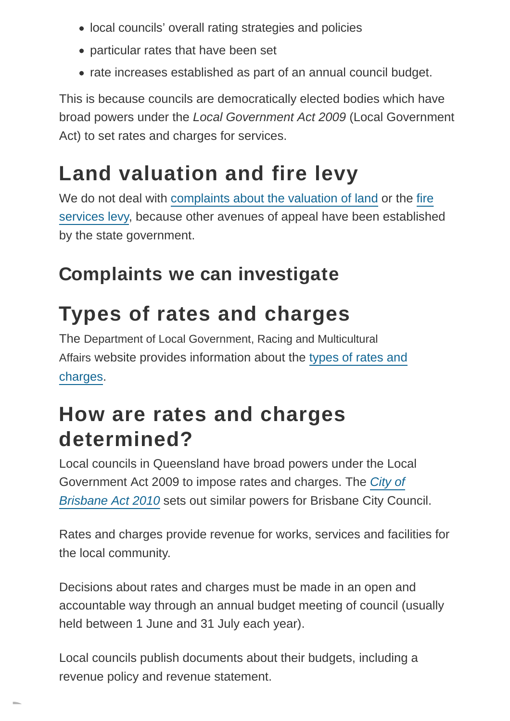- local councils' overall rating strategies and policies
- particular rates that have been set
- rate increases established as part of an annual council budget.

This is because councils are democratically elected bodies which have broad powers under the Local Government Act 2009 (Local Government Act) to set rates and charges for services.

## **Land valuation and fire levy**

We do not deal with [complaints about the valuation of land](https://www.qld.gov.au/environment/land/title/valuation/lodge-objections/) or the [fire](https://www.qfes.qld.gov.au/about-us/complaints-management) services levy, because other avenues of appeal have been established by the state government.

#### **Complaints we can investigate**

## **Types of rates and charges**

The Department of Local Government, Racing and Multicultural Affairs website provides information about the [types of rates and](https://www.dlgrma.qld.gov.au/local-government/finance/rates-and-charges) charges.

#### **How are rates and charges determined?**

Local councils in Queensland have broad powers under the Local Government Act 2009 to impose rates and charges. The [City of](https://www.legislation.qld.gov.au/legisltn/current/c/citybrisa10.pdf) Brisbane Act 2010 sets out similar powers for Brisbane City Council.

Rates and charges provide revenue for works, services and facilities for the local community.

Decisions about rates and charges must be made in an open and accountable way through an annual budget meeting of council (usually held between 1 June and 31 July each year).

Local councils publish documents about their budgets, including a revenue policy and revenue statement.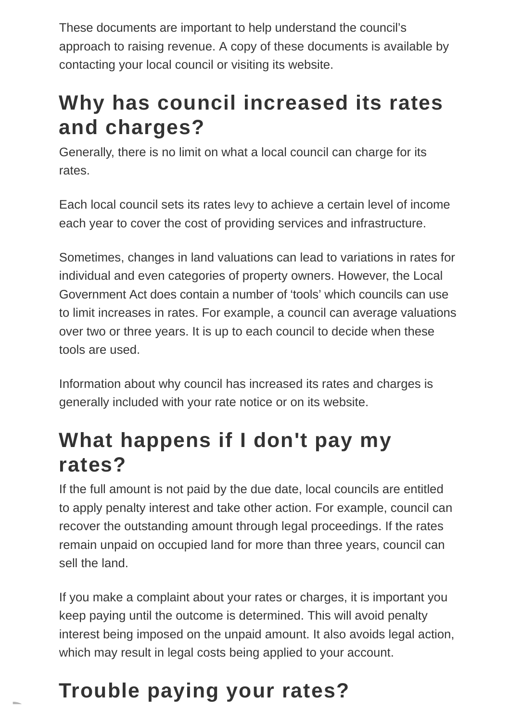These documents are important to help understand the council's approach to raising revenue. A copy of these documents is available by contacting your local council or visiting its website.

### **Why has council increased its rates and charges?**

Generally, there is no limit on what a local council can charge for its rates.

Each local council sets its rates levy to achieve a certain level of income each year to cover the cost of providing services and infrastructure.

Sometimes, changes in land valuations can lead to variations in rates for individual and even categories of property owners. However, the Local Government Act does contain a number of 'tools' which councils can use to limit increases in rates. For example, a council can average valuations over two or three years. It is up to each council to decide when these tools are used.

Information about why council has increased its rates and charges is generally included with your rate notice or on its website.

## **What happens if I don't pay my rates?**

If the full amount is not paid by the due date, local councils are entitled to apply penalty interest and take other action. For example, council can recover the outstanding amount through legal proceedings. If the rates remain unpaid on occupied land for more than three years, council can sell the land.

If you make a complaint about your rates or charges, it is important you keep paying until the outcome is determined. This will avoid penalty interest being imposed on the unpaid amount. It also avoids legal action, which may result in legal costs being applied to your account.

# **Trouble paying your rates?**